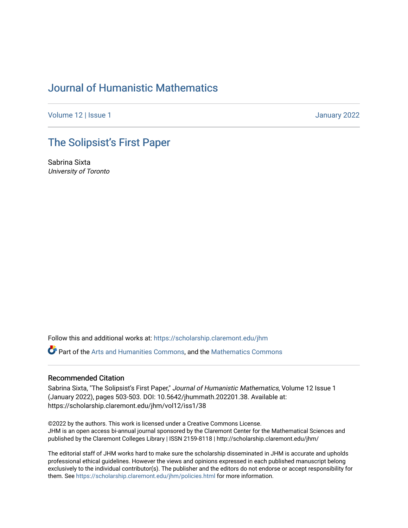## [Journal of Humanistic Mathematics](https://scholarship.claremont.edu/jhm)

[Volume 12](https://scholarship.claremont.edu/jhm/vol12) | Issue 1 January 2022

## [The Solipsist's First Paper](https://scholarship.claremont.edu/jhm/vol12/iss1/38)

Sabrina Sixta University of Toronto

Follow this and additional works at: [https://scholarship.claremont.edu/jhm](https://scholarship.claremont.edu/jhm?utm_source=scholarship.claremont.edu%2Fjhm%2Fvol12%2Fiss1%2F38&utm_medium=PDF&utm_campaign=PDFCoverPages)

Part of the [Arts and Humanities Commons,](http://network.bepress.com/hgg/discipline/438?utm_source=scholarship.claremont.edu%2Fjhm%2Fvol12%2Fiss1%2F38&utm_medium=PDF&utm_campaign=PDFCoverPages) and the [Mathematics Commons](http://network.bepress.com/hgg/discipline/174?utm_source=scholarship.claremont.edu%2Fjhm%2Fvol12%2Fiss1%2F38&utm_medium=PDF&utm_campaign=PDFCoverPages) 

## Recommended Citation

Sabrina Sixta, "The Solipsist's First Paper," Journal of Humanistic Mathematics, Volume 12 Issue 1 (January 2022), pages 503-503. DOI: 10.5642/jhummath.202201.38. Available at: https://scholarship.claremont.edu/jhm/vol12/iss1/38

©2022 by the authors. This work is licensed under a Creative Commons License. JHM is an open access bi-annual journal sponsored by the Claremont Center for the Mathematical Sciences and published by the Claremont Colleges Library | ISSN 2159-8118 | http://scholarship.claremont.edu/jhm/

The editorial staff of JHM works hard to make sure the scholarship disseminated in JHM is accurate and upholds professional ethical guidelines. However the views and opinions expressed in each published manuscript belong exclusively to the individual contributor(s). The publisher and the editors do not endorse or accept responsibility for them. See<https://scholarship.claremont.edu/jhm/policies.html> for more information.